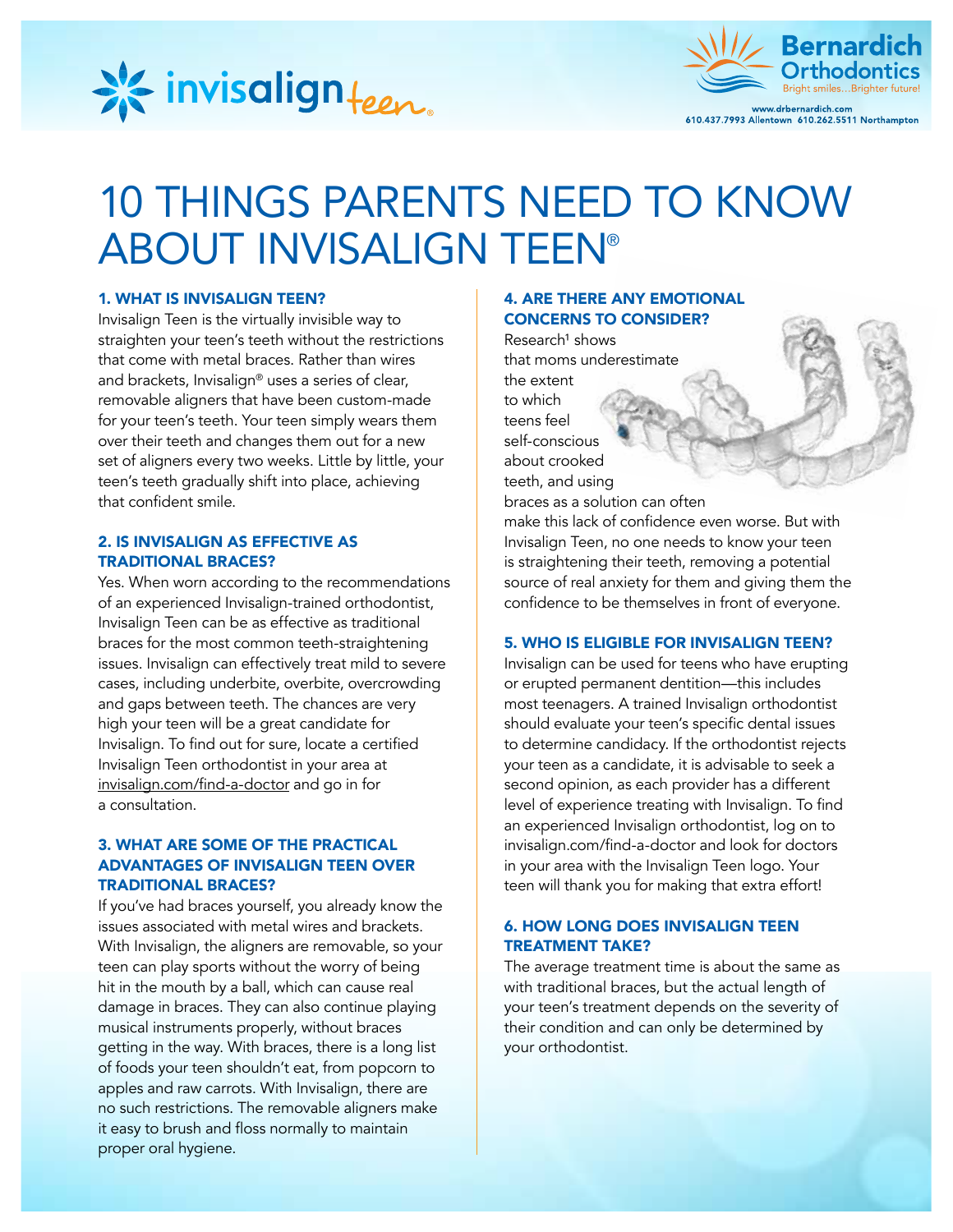



# 10 THINGS PARENTS NEED TO KNOW ABOUT INVISALIGN TEEN®

## 1. WHAT IS INVISALIGN TEEN?

Invisalign Teen is the virtually invisible way to straighten your teen's teeth without the restrictions that come with metal braces. Rather than wires and brackets, Invisalign® uses a series of clear, removable aligners that have been custom-made for your teen's teeth. Your teen simply wears them over their teeth and changes them out for a new set of aligners every two weeks. Little by little, your teen's teeth gradually shift into place, achieving that confident smile.

# 2. IS INVISALIGN AS EFFECTIVE AS TRADITIONAL BRACES?

Yes. When worn according to the recommendations of an experienced Invisalign-trained orthodontist, Invisalign Teen can be as effective as traditional braces for the most common teeth-straightening issues. Invisalign can effectively treat mild to severe cases, including underbite, overbite, overcrowding and gaps between teeth. The chances are very high your teen will be a great candidate for Invisalign. To find out for sure, locate a certified Invisalign Teen orthodontist in your area at invisalign.com/find-a-doctor and go in for a consultation.

# 3. WHAT ARE SOME OF THE PRACTICAL ADVANTAGES OF INVISALIGN TEEN OVER TRADITIONAL BRACES?

If you've had braces yourself, you already know the issues associated with metal wires and brackets. With Invisalign, the aligners are removable, so your teen can play sports without the worry of being hit in the mouth by a ball, which can cause real damage in braces. They can also continue playing musical instruments properly, without braces getting in the way. With braces, there is a long list of foods your teen shouldn't eat, from popcorn to apples and raw carrots. With Invisalign, there are no such restrictions. The removable aligners make it easy to brush and floss normally to maintain proper oral hygiene.

# 4. ARE THERE ANY EMOTIONAL CONCERNS TO CONSIDER?

 $Research<sup>1</sup>$  shows that moms underestimate the extent to which teens feel self-conscious about crooked teeth, and using braces as a solution can often make this lack of confidence even worse. But with

Invisalign Teen, no one needs to know your teen is straightening their teeth, removing a potential source of real anxiety for them and giving them the confidence to be themselves in front of everyone.

## 5. WHO IS ELIGIBLE FOR INVISALIGN TEEN?

Invisalign can be used for teens who have erupting or erupted permanent dentition—this includes most teenagers. A trained Invisalign orthodontist should evaluate your teen's specific dental issues to determine candidacy. If the orthodontist rejects your teen as a candidate, it is advisable to seek a second opinion, as each provider has a different level of experience treating with Invisalign. To find an experienced Invisalign orthodontist, log on to invisalign.com/find-a-doctor and look for doctors in your area with the Invisalign Teen logo. Your teen will thank you for making that extra effort!

## 6. HOW LONG DOES INVISALIGN TEEN TREATMENT TAKE?

The average treatment time is about the same as with traditional braces, but the actual length of your teen's treatment depends on the severity of their condition and can only be determined by your orthodontist.